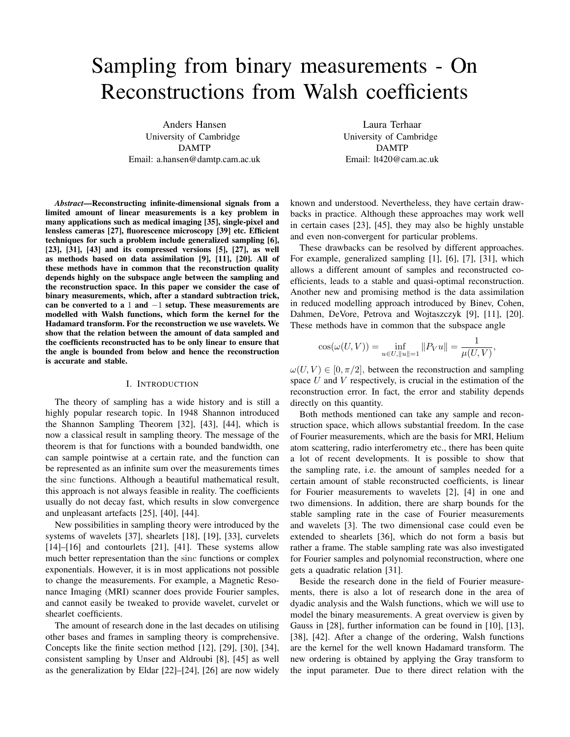# Sampling from binary measurements - On Reconstructions from Walsh coefficients

Anders Hansen University of Cambridge DAMTP Email: a.hansen@damtp.cam.ac.uk

Laura Terhaar University of Cambridge DAMTP Email: lt420@cam.ac.uk

*Abstract*—Reconstructing infinite-dimensional signals from a limited amount of linear measurements is a key problem in many applications such as medical imaging [35], single-pixel and lensless cameras [27], fluorescence microscopy [39] etc. Efficient techniques for such a problem include generalized sampling [6], [23], [31], [43] and its compressed versions [5], [27], as well as methods based on data assimilation [9], [11], [20]. All of these methods have in common that the reconstruction quality depends highly on the subspace angle between the sampling and the reconstruction space. In this paper we consider the case of binary measurements, which, after a standard subtraction trick, can be converted to a 1 and −1 setup. These measurements are modelled with Walsh functions, which form the kernel for the Hadamard transform. For the reconstruction we use wavelets. We show that the relation between the amount of data sampled and the coefficients reconstructed has to be only linear to ensure that the angle is bounded from below and hence the reconstruction is accurate and stable.

# I. INTRODUCTION

The theory of sampling has a wide history and is still a highly popular research topic. In 1948 Shannon introduced the Shannon Sampling Theorem [32], [43], [44], which is now a classical result in sampling theory. The message of the theorem is that for functions with a bounded bandwidth, one can sample pointwise at a certain rate, and the function can be represented as an infinite sum over the measurements times the sinc functions. Although a beautiful mathematical result, this approach is not always feasible in reality. The coefficients usually do not decay fast, which results in slow convergence and unpleasant artefacts [25], [40], [44].

New possibilities in sampling theory were introduced by the systems of wavelets [37], shearlets [18], [19], [33], curvelets [14]–[16] and contourlets [21], [41]. These systems allow much better representation than the sinc functions or complex exponentials. However, it is in most applications not possible to change the measurements. For example, a Magnetic Resonance Imaging (MRI) scanner does provide Fourier samples, and cannot easily be tweaked to provide wavelet, curvelet or shearlet coefficients.

The amount of research done in the last decades on utilising other bases and frames in sampling theory is comprehensive. Concepts like the finite section method [12], [29], [30], [34], consistent sampling by Unser and Aldroubi [8], [45] as well as the generalization by Eldar [22]–[24], [26] are now widely known and understood. Nevertheless, they have certain drawbacks in practice. Although these approaches may work well in certain cases [23], [45], they may also be highly unstable and even non-convergent for particular problems.

These drawbacks can be resolved by different approaches. For example, generalized sampling [1], [6], [7], [31], which allows a different amount of samples and reconstructed coefficients, leads to a stable and quasi-optimal reconstruction. Another new and promising method is the data assimilation in reduced modelling approach introduced by Binev, Cohen, Dahmen, DeVore, Petrova and Wojtaszczyk [9], [11], [20]. These methods have in common that the subspace angle

$$
\cos(\omega(U,V))=\inf_{u\in U, \Vert u\Vert=1} \Vert P_V u\Vert=\frac{1}{\mu(U,V)},
$$

 $\omega(U, V) \in [0, \pi/2]$ , between the reconstruction and sampling space  $U$  and  $V$  respectively, is crucial in the estimation of the reconstruction error. In fact, the error and stability depends directly on this quantity.

Both methods mentioned can take any sample and reconstruction space, which allows substantial freedom. In the case of Fourier measurements, which are the basis for MRI, Helium atom scattering, radio interferometry etc., there has been quite a lot of recent developments. It is possible to show that the sampling rate, i.e. the amount of samples needed for a certain amount of stable reconstructed coefficients, is linear for Fourier measurements to wavelets [2], [4] in one and two dimensions. In addition, there are sharp bounds for the stable sampling rate in the case of Fourier measurements and wavelets [3]. The two dimensional case could even be extended to shearlets [36], which do not form a basis but rather a frame. The stable sampling rate was also investigated for Fourier samples and polynomial reconstruction, where one gets a quadratic relation [31].

Beside the research done in the field of Fourier measurements, there is also a lot of research done in the area of dyadic analysis and the Walsh functions, which we will use to model the binary measurements. A great overview is given by Gauss in [28], further information can be found in [10], [13], [38], [42]. After a change of the ordering, Walsh functions are the kernel for the well known Hadamard transform. The new ordering is obtained by applying the Gray transform to the input parameter. Due to there direct relation with the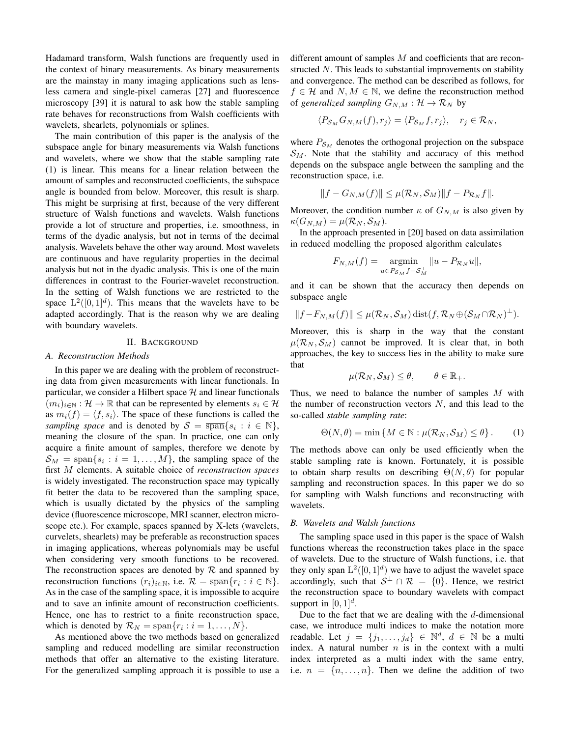Hadamard transform, Walsh functions are frequently used in the context of binary measurements. As binary measurements are the mainstay in many imaging applications such as lensless camera and single-pixel cameras [27] and fluorescence microscopy [39] it is natural to ask how the stable sampling rate behaves for reconstructions from Walsh coefficients with wavelets, shearlets, polynomials or splines.

The main contribution of this paper is the analysis of the subspace angle for binary measurements via Walsh functions and wavelets, where we show that the stable sampling rate (1) is linear. This means for a linear relation between the amount of samples and reconstructed coefficients, the subspace angle is bounded from below. Moreover, this result is sharp. This might be surprising at first, because of the very different structure of Walsh functions and wavelets. Walsh functions provide a lot of structure and properties, i.e. smoothness, in terms of the dyadic analysis, but not in terms of the decimal analysis. Wavelets behave the other way around. Most wavelets are continuous and have regularity properties in the decimal analysis but not in the dyadic analysis. This is one of the main differences in contrast to the Fourier-wavelet reconstruction. In the setting of Walsh functions we are restricted to the space  $L^2([0,1]^d)$ . This means that the wavelets have to be adapted accordingly. That is the reason why we are dealing with boundary wavelets.

## II. BACKGROUND

#### *A. Reconstruction Methods*

In this paper we are dealing with the problem of reconstructing data from given measurements with linear functionals. In particular, we consider a Hilbert space  $H$  and linear functionals  $(m_i)_{i\in\mathbb{N}} : \mathcal{H} \to \mathbb{R}$  that can be represented by elements  $s_i \in \mathcal{H}$ as  $m_i(f) = \langle f, s_i \rangle$ . The space of these functions is called the *sampling space* and is denoted by  $S = \overline{\text{span}}\{s_i : i \in \mathbb{N}\},$ meaning the closure of the span. In practice, one can only acquire a finite amount of samples, therefore we denote by  $S_M = \text{span}\{s_i : i = 1, \dots, M\}$ , the sampling space of the first M elements. A suitable choice of *reconstruction spaces* is widely investigated. The reconstruction space may typically fit better the data to be recovered than the sampling space, which is usually dictated by the physics of the sampling device (fluorescence microscope, MRI scanner, electron microscope etc.). For example, spaces spanned by X-lets (wavelets, curvelets, shearlets) may be preferable as reconstruction spaces in imaging applications, whereas polynomials may be useful when considering very smooth functions to be recovered. The reconstruction spaces are denoted by  $R$  and spanned by reconstruction functions  $(r_i)_{i \in \mathbb{N}}$ , i.e.  $\mathcal{R} = \overline{\text{span}}\{r_i : i \in \mathbb{N}\}.$ As in the case of the sampling space, it is impossible to acquire and to save an infinite amount of reconstruction coefficients. Hence, one has to restrict to a finite reconstruction space, which is denoted by  $\mathcal{R}_N = \text{span}\{r_i : i = 1, ..., N\}.$ 

As mentioned above the two methods based on generalized sampling and reduced modelling are similar reconstruction methods that offer an alternative to the existing literature. For the generalized sampling approach it is possible to use a different amount of samples M and coefficients that are reconstructed N. This leads to substantial improvements on stability and convergence. The method can be described as follows, for  $f \in \mathcal{H}$  and  $N, M \in \mathbb{N}$ , we define the reconstruction method of *generalized sampling*  $G_{N,M} : \mathcal{H} \to \mathcal{R}_N$  by

$$
\langle P_{\mathcal{S}_M} G_{N,M}(f), r_j \rangle = \langle P_{\mathcal{S}_M} f, r_j \rangle, \quad r_j \in \mathcal{R}_N,
$$

where  $P_{\mathcal{S}_M}$  denotes the orthogonal projection on the subspace  $\mathcal{S}_M$ . Note that the stability and accuracy of this method depends on the subspace angle between the sampling and the reconstruction space, i.e.

$$
||f - G_{N,M}(f)|| \leq \mu(\mathcal{R}_N, \mathcal{S}_M) ||f - P_{\mathcal{R}_N}f||.
$$

Moreover, the condition number  $\kappa$  of  $G_{N,M}$  is also given by  $\kappa(G_{N,M}) = \mu(\mathcal{R}_N, \mathcal{S}_M).$ 

In the approach presented in [20] based on data assimilation in reduced modelling the proposed algorithm calculates

$$
F_{N,M}(f) = \underset{u \in P_{S_M} f + S_M^{\perp}}{\operatorname{argmin}} ||u - P_{\mathcal{R}_N} u||,
$$

and it can be shown that the accuracy then depends on subspace angle

$$
||f - F_{N,M}(f)|| \leq \mu(\mathcal{R}_N, \mathcal{S}_M) \operatorname{dist}(f, \mathcal{R}_N \oplus (\mathcal{S}_M \cap \mathcal{R}_N)^{\perp}).
$$

Moreover, this is sharp in the way that the constant  $\mu(\mathcal{R}_N, \mathcal{S}_M)$  cannot be improved. It is clear that, in both approaches, the key to success lies in the ability to make sure that

$$
\mu(\mathcal{R}_N, \mathcal{S}_M) \leq \theta, \qquad \theta \in \mathbb{R}_+.
$$

Thus, we need to balance the number of samples  $M$  with the number of reconstruction vectors  $N$ , and this lead to the so-called *stable sampling rate*:

$$
\Theta(N,\theta) = \min \left\{ M \in \mathbb{N} : \mu(\mathcal{R}_N, \mathcal{S}_M) \le \theta \right\}.
$$
 (1)

The methods above can only be used efficiently when the stable sampling rate is known. Fortunately, it is possible to obtain sharp results on describing  $\Theta(N, \theta)$  for popular sampling and reconstruction spaces. In this paper we do so for sampling with Walsh functions and reconstructing with wavelets.

#### *B. Wavelets and Walsh functions*

The sampling space used in this paper is the space of Walsh functions whereas the reconstruction takes place in the space of wavelets. Due to the structure of Walsh functions, i.e. that they only span  $L^2([0,1]^d)$  we have to adjust the wavelet space accordingly, such that  $S^{\perp} \cap \mathcal{R} = \{0\}$ . Hence, we restrict the reconstruction space to boundary wavelets with compact support in  $[0, 1]^d$ .

Due to the fact that we are dealing with the  $d$ -dimensional case, we introduce multi indices to make the notation more readable. Let  $j = \{j_1, \ldots, j_d\} \in \mathbb{N}^d$ ,  $d \in \mathbb{N}$  be a multi index. A natural number  $n$  is in the context with a multi index interpreted as a multi index with the same entry, i.e.  $n = \{n, \ldots, n\}$ . Then we define the addition of two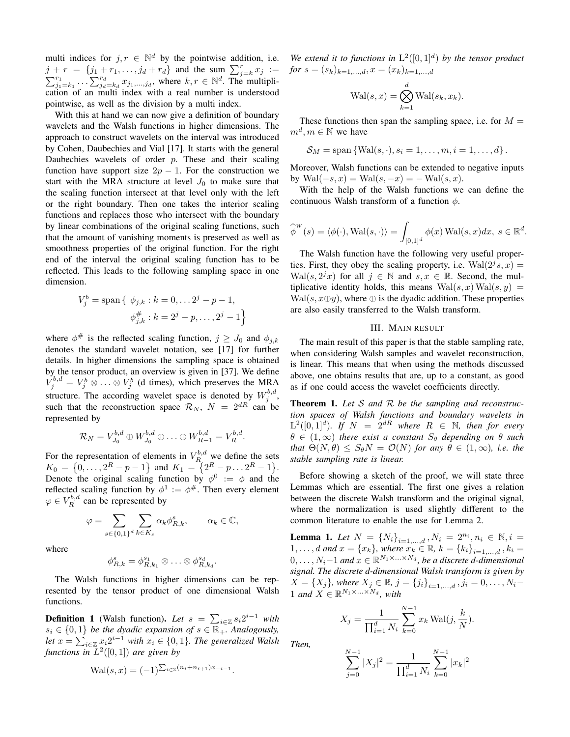multi indices for  $j, r \in \mathbb{N}^d$  by the pointwise addition, i.e.  $j + r = \{j_1 + r_1, \ldots, j_d + r_d\}$  and the sum  $\sum_{j=k}^{r} x_j :=$  $\sum_{j_1=k_1}^{r_1} \ldots \sum_{j_d=k_d}^{r_d} x_{j_1,\ldots,j_d}$ , where  $k, r \in \mathbb{N}^d$ . The multiplication of an multi index with a real number is understood pointwise, as well as the division by a multi index.

With this at hand we can now give a definition of boundary wavelets and the Walsh functions in higher dimensions. The approach to construct wavelets on the interval was introduced by Cohen, Daubechies and Vial [17]. It starts with the general Daubechies wavelets of order  $p$ . These and their scaling function have support size  $2p - 1$ . For the construction we start with the MRA structure at level  $J_0$  to make sure that the scaling function intersect at that level only with the left or the right boundary. Then one takes the interior scaling functions and replaces those who intersect with the boundary by linear combinations of the original scaling functions, such that the amount of vanishing moments is preserved as well as smoothness properties of the original function. For the right end of the interval the original scaling function has to be reflected. This leads to the following sampling space in one dimension.

$$
V_j^b = \text{span}\{ \phi_{j,k} : k = 0, \dots 2^j - p - 1, \phi_{j,k}^{\#} : k = 2^j - p, \dots, 2^j - 1 \}
$$

where  $\phi^{\#}$  is the reflected scaling function,  $j \geq J_0$  and  $\phi_{j,k}$ denotes the standard wavelet notation, see [17] for further details. In higher dimensions the sampling space is obtained by the tensor product, an overview is given in [37]. We define  $\dot{V}_j^{b,d} = V_j^b \otimes \ldots \otimes V_j^b$  (d times), which preserves the MRA structure. The according wavelet space is denoted by  $W_j^{b,d}$ , such that the reconstruction space  $\mathcal{R}_N$ ,  $N = 2^{dR}$  can be represented by

$$
\mathcal{R}_N = V_{J_0}^{b,d} \oplus W_{J_0}^{b,d} \oplus \ldots \oplus W_{R-1}^{b,d} = V_R^{b,d}.
$$

For the representation of elements in  $V_{R_{\epsilon}}^{b,d}$  we define the sets  $K_0 = \{0, \ldots, 2^R - p - 1\}$  and  $K_1 = \{2^R - p \ldots 2^R - 1\}.$ Denote the original scaling function by  $\phi^0 := \phi$  and the reflected scaling function by  $\phi^1 := \phi^{\#}$ . Then every element  $\varphi \in V_R^{b,d}$  can be represented by

$$
\varphi = \sum_{s \in \{0,1\}^d} \sum_{k \in K_s} \alpha_k \phi_{R,k}^s, \qquad \alpha_k \in \mathbb{C},
$$

where

$$
\phi_{R,k}^s = \phi_{R,k_1}^{s_1} \otimes \ldots \otimes \phi_{R,k_d}^{s_d}.
$$

The Walsh functions in higher dimensions can be represented by the tensor product of one dimensional Walsh functions.

**Definition 1** (Walsh function). Let  $s = \sum_{i \in \mathbb{Z}} s_i 2^{i-1}$  with  $s_i \in \{0,1\}$  *be the dyadic expansion of*  $s \in \mathbb{R}_+$ . Analogously, let  $x = \sum_{i \in \mathbb{Z}} x_i 2^{i-1}$  *with*  $x_i \in \{0, 1\}$ *. The generalized Walsh* functions in  $L^2([0,1])$  are given by

$$
W\text{al}(s,x) = (-1)^{\sum_{i \in \mathbb{Z}} (n_i + n_{i+1})x_{-i-1}}.
$$

We extend it to functions in  $L^2([0,1]^d)$  by the tensor product *for*  $s = (s_k)_{k=1,\dots,d}$ ,  $x = (x_k)_{k=1,\dots,d}$ 

$$
Wal(s, x) = \bigotimes_{k=1}^{d} Wal(s_k, x_k).
$$

These functions then span the sampling space, i.e. for  $M =$  $m^d, m \in \mathbb{N}$  we have

$$
S_M
$$
 = span {Wal $(s, \cdot)$ ,  $s_i = 1, ..., m, i = 1, ..., d$  }.

Moreover, Walsh functions can be extended to negative inputs by Wal $(-s, x) = \text{Wal}(s, -x) = -\text{Wal}(s, x)$ .

With the help of the Walsh functions we can define the continuous Walsh transform of a function  $\phi$ .

$$
\widehat{\boldsymbol{\phi}}^W(s) = \langle \phi(\cdot), \text{Wal}(s, \cdot) \rangle = \int_{[0,1]^d} \phi(x) \text{ Wal}(s, x) dx, \ s \in \mathbb{R}^d.
$$

The Walsh function have the following very useful properties. First, they obey the scaling property, i.e.  $\text{Wal}(2^j s, x) =$  $\text{Wal}(s, 2^{j}x)$  for all  $j \in \mathbb{N}$  and  $s, x \in \mathbb{R}$ . Second, the multiplicative identity holds, this means  $\text{Wal}(s, x) \text{Wal}(s, y)$  =  $\text{Wal}(s, x \oplus y)$ , where  $\oplus$  is the dyadic addition. These properties are also easily transferred to the Walsh transform.

# III. MAIN RESULT

The main result of this paper is that the stable sampling rate, when considering Walsh samples and wavelet reconstruction, is linear. This means that when using the methods discussed above, one obtains results that are, up to a constant, as good as if one could access the wavelet coefficients directly.

Theorem 1. *Let* S *and* R *be the sampling and reconstruction spaces of Walsh functions and boundary wavelets in*  $L^2([0,1]^d)$ . If  $N = 2^{dR}$  where  $R \in \mathbb{N}$ , then for every  $\theta \in (1,\infty)$  *there exist a constant*  $S_{\theta}$  *depending on*  $\theta$  *such that*  $\Theta(N, \theta) \leq S_{\theta}N = \mathcal{O}(N)$  *for any*  $\theta \in (1, \infty)$ *, i.e. the stable sampling rate is linear.*

Before showing a sketch of the proof, we will state three Lemmas which are essential. The first one gives a relation between the discrete Walsh transform and the original signal, where the normalization is used slightly different to the common literature to enable the use for Lemma 2.

**Lemma 1.** Let  $N = \{N_i\}_{i=1,...,d}$ ,  $N_i = 2^{n_i}$ ,  $n_i \in \mathbb{N}$ ,  $i =$ 1,..., *d* and  $x = \{x_k\}$ , where  $x_k \in \mathbb{R}$ ,  $k = \{k_i\}_{i=1,\dots,d}$ ,  $k_i =$  $0, \ldots, N_i-1$  and  $x \in \mathbb{R}^{N_1 \times \ldots \times N_d}$ , be a discrete d-dimensional *signal. The discrete d-dimensional Walsh transform is given by*  $X = \{X_j\}$ , where  $X_j \in \mathbb{R}$ ,  $j = \{j_i\}_{i=1,...,d}$ ,  $j_i = 0, ..., N_i -$ 1 and  $X \in \mathbb{R}^{N_1 \times \ldots \times N_d}$ , with

$$
X_j = \frac{1}{\prod_{i=1}^d N_i} \sum_{k=0}^{N-1} x_k \text{ Wal}(j, \frac{k}{N}).
$$

*Then,*

$$
\sum_{j=0}^{N-1} |X_j|^2 = \frac{1}{\prod_{i=1}^d N_i} \sum_{k=0}^{N-1} |x_k|^2
$$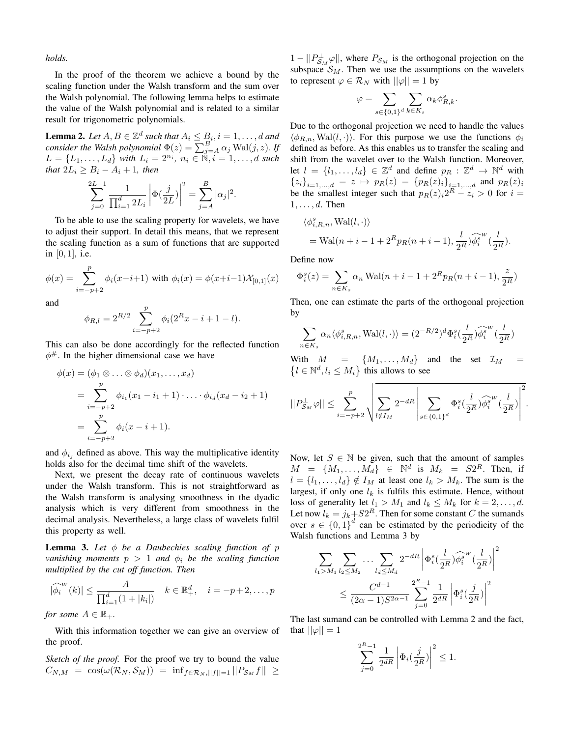*holds.*

In the proof of the theorem we achieve a bound by the scaling function under the Walsh transform and the sum over the Walsh polynomial. The following lemma helps to estimate the value of the Walsh polynomial and is related to a similar result for trigonometric polynomials.

**Lemma 2.** Let  $A, B \in \mathbb{Z}^d$  such that  $A_i \leq B_i, i = 1, \ldots, d$  and *consider the Walsh polynomial*  $\Phi(z) = \sum_{j=A}^{B} \alpha_j \text{ Wal}(j, z)$ *. If*  $L = \{L_1, ..., L_d\}$  with  $L_i = 2^{n_i}$ ,  $n_i \in \mathbb{N}, i = 1, ..., d$  such *that*  $2L_i \geq B_i - A_i + 1$ *, then* 

$$
\sum_{j=0}^{2L-1} \frac{1}{\prod_{i=1}^d 2L_i} \left| \Phi(\frac{j}{2L}) \right|^2 = \sum_{j=A}^B |\alpha_j|^2.
$$

To be able to use the scaling property for wavelets, we have to adjust their support. In detail this means, that we represent the scaling function as a sum of functions that are supported in  $[0, 1]$ , i.e.

$$
\phi(x) = \sum_{i=-p+2}^{p} \phi_i(x-i+1) \text{ with } \phi_i(x) = \phi(x+i-1)\mathcal{X}_{[0,1]}(x)
$$

and

$$
\phi_{R,l} = 2^{R/2} \sum_{i=-p+2}^{p} \phi_i (2^R x - i + 1 - l).
$$

This can also be done accordingly for the reflected function  $\phi^{\#}$ . In the higher dimensional case we have

$$
\phi(x) = (\phi_1 \otimes \ldots \otimes \phi_d)(x_1, \ldots, x_d)
$$
  
= 
$$
\sum_{i=-p+2}^{p} \phi_{i_1}(x_1 - i_1 + 1) \cdot \ldots \cdot \phi_{i_d}(x_d - i_2 + 1)
$$
  
= 
$$
\sum_{i=-p+2}^{p} \phi_i(x - i + 1).
$$

and  $\phi_{i_j}$  defined as above. This way the multiplicative identity holds also for the decimal time shift of the wavelets.

Next, we present the decay rate of continuous wavelets under the Walsh transform. This is not straightforward as the Walsh transform is analysing smoothness in the dyadic analysis which is very different from smoothness in the decimal analysis. Nevertheless, a large class of wavelets fulfil this property as well.

**Lemma 3.** Let  $\phi$  be a Daubechies scaling function of p *vanishing moments*  $p > 1$  *and*  $\phi_i$  *be the scaling function multiplied by the cut off function. Then*

$$
|\widehat{\phi_i}^W(k)| \le \frac{A}{\prod_{i=1}^d (1+|k_i|)} \quad k \in \mathbb{R}^d_+, \quad i = -p+2, \dots, p
$$

*for some*  $A \in \mathbb{R}_+$ *.* 

With this information together we can give an overview of the proof.

*Sketch of the proof.* For the proof we try to bound the value  $C_{N,M} = \cos(\omega(\mathcal{R}_N, \mathcal{S}_M)) = \inf_{f \in \mathcal{R}_N, ||f|| = 1} ||P_{\mathcal{S}_M}f||$ 

 $1 - ||P_{\mathcal{S}_M}^{\perp} \varphi||$ , where  $P_{\mathcal{S}_M}$  is the orthogonal projection on the subspace  $S_M$ . Then we use the assumptions on the wavelets to represent  $\varphi \in \mathcal{R}_N$  with  $||\varphi|| = 1$  by

$$
\varphi = \sum_{s \in \{0,1\}^d} \sum_{k \in K_s} \alpha_k \phi_{R,k}^s.
$$

Due to the orthogonal projection we need to handle the values  $\langle \phi_{R,n}, \text{Wal}(l, \cdot) \rangle$ . For this purpose we use the functions  $\phi_i$ defined as before. As this enables us to transfer the scaling and shift from the wavelet over to the Walsh function. Moreover, let  $l = \{l_1, \ldots, l_d\} \in \mathbb{Z}^d$  and define  $p_R : \mathbb{Z}^d \to \mathbb{N}^d$  with  ${z_i}_{i=1,...,d} = z \mapsto p_R(z) = {p_R(z)_i}_{i=1,...,d}$  and  $p_R(z)_i$ be the smallest integer such that  $p_R(z)$ <sub>i</sub> $2^R - z_i > 0$  for  $i =$  $1, \ldots, d$ . Then

$$
\begin{aligned} &\langle \phi^s_{i,R,n}, \mathrm{Wal}(l,\cdot)\rangle\\ &=\mathrm{Wal}(n+i-1+2^Rp_R(n+i-1),\frac{l}{2^R})\widehat{\phi^s_i}^{\mathrm{w}}(\frac{l}{2^R}). \end{aligned}
$$

Define now

$$
\Phi_i^s(z) = \sum_{n \in K_s} \alpha_n \text{ Wal}(n + i - 1 + 2^R p_R(n + i - 1), \frac{z}{2^R})
$$

Then, one can estimate the parts of the orthogonal projection by

$$
\sum_{n \in K_s} \alpha_n \langle \phi_{i,R,n}^s, \text{Wal}(l, \cdot) \rangle = (2^{-R/2})^d \Phi_i^s(\frac{l}{2^R}) \widehat{\phi_i^s}^w(\frac{l}{2^R})
$$

With  $M = \{M_1, \ldots, M_d\}$  and the set  $\mathcal{I}_M =$  $\{l \in \mathbb{N}^d, l_i \leq M_i\}$  this allows to see

$$
||P_{\mathcal{S}_M}^{\perp}\varphi||\leq \sum_{i=-p+2}^p\sqrt{\sum_{l\notin I_M}2^{-dR}\left|\sum_{s\in\{0,1\}^d}\Phi_i^s(\frac{l}{2^R})\widehat{\phi_i^{s^W}}(\frac{l}{2^R})\right|^2}.
$$

Now, let  $S \in \mathbb{N}$  be given, such that the amount of samples  $M = \{M_1, \ldots, M_d\} \in \mathbb{N}^d$  is  $M_k = S2^R$ . Then, if  $l = \{l_1, \ldots, l_d\} \notin I_M$  at least one  $l_k > M_k$ . The sum is the largest, if only one  $l_k$  is fulfils this estimate. Hence, without loss of generality let  $l_1 > M_1$  and  $l_k \leq M_k$  for  $k = 2, \ldots, d$ . Let now  $l_k = j_k + S2^R$ . Then for some constant C the sumands over  $s \in \{0,1\}^d$  can be estimated by the periodicity of the Walsh functions and Lemma 3 by

$$
\sum_{l_1 > M_1} \sum_{l_2 \le M_2} \dots \sum_{l_d \le M_d} 2^{-dR} \left| \Phi_i^s(\frac{l}{2^R}) \widehat{\phi_i^s}^w(\frac{l}{2^R}) \right|^2
$$
  

$$
\le \frac{C^{d-1}}{(2\alpha - 1)S^{2\alpha - 1}} \sum_{j=0}^{2^R-1} \frac{1}{2^{dR}} \left| \Phi_i^s(\frac{j}{2^R}) \right|^2
$$

The last sumand can be controlled with Lemma 2 and the fact, that  $||\varphi|| = 1$ 

$$
\sum_{j=0}^{2^R-1} \frac{1}{2^{dR}} \left| \Phi_i(\frac{j}{2^R}) \right|^2 \le 1.
$$